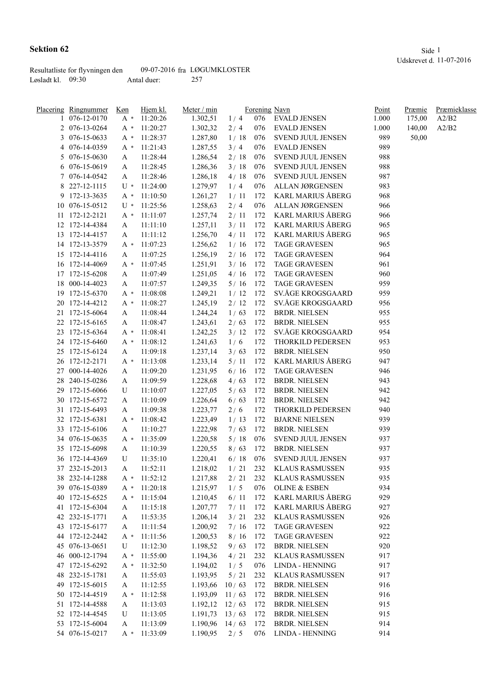|                     | Resultatliste for flyvningen den |             | 09-07-2016 fra LØGUMKLOSTER |
|---------------------|----------------------------------|-------------|-----------------------------|
| Løsladt kl. $09:30$ |                                  | Antal duer: | -257                        |

| Placering Ringnummer | Køn   | Hjem kl. | Meter / min |        |            | Forening Navn            | Point | Præmie | Præmieklasse |
|----------------------|-------|----------|-------------|--------|------------|--------------------------|-------|--------|--------------|
| 1 076-12-0170        | $A^*$ | 11:20:26 | 1.302,51    | 1/4    | 076        | EVALD JENSEN             | 1.000 | 175,00 | A2/B2        |
| 2 076-13-0264        | A *   | 11:20:27 | 1.302,32    | 2/4    | 076        | <b>EVALD JENSEN</b>      | 1.000 | 140,00 | A2/B2        |
| 3 076-15-0633        | A *   | 11:28:37 | 1.287,80    | 1/18   | 076        | SVEND JUUL JENSEN        | 989   | 50,00  |              |
| 4 076-14-0359        | A *   | 11:21:43 | 1.287,55    | 3/4    | 076        | <b>EVALD JENSEN</b>      | 989   |        |              |
| 5 076-15-0630        | A     | 11:28:44 | 1.286,54    | 2/18   | 076        | SVEND JUUL JENSEN        | 988   |        |              |
| 6 076-15-0619        | A     | 11:28:45 | 1.286,36    | 3/18   | 076        | SVEND JUUL JENSEN        | 988   |        |              |
| 7 076-14-0542        | A     | 11:28:46 | 1.286,18    | 4/18   | 076        | SVEND JUUL JENSEN        | 987   |        |              |
| 8 227-12-1115        | U *   | 11:24:00 | 1.279,97    | 1/4    | 076        | ALLAN JØRGENSEN          | 983   |        |              |
| 9 172-13-3635        | A *   | 11:10:50 | 1.261,27    | 1/11   | 172        | <b>KARL MARIUS ÅBERG</b> | 968   |        |              |
| 10 076-15-0512       | U *   | 11:25:56 | 1.258,63    | 2/4    | 076        | ALLAN JØRGENSEN          | 966   |        |              |
| 11 172-12-2121       | A *   | 11:11:07 | 1.257,74    | 2/11   | 172        | KARL MARIUS ÅBERG        | 966   |        |              |
| 12 172-14-4384       | A     | 11:11:10 | 1.257,11    | 3/11   | 172        | KARL MARIUS ÅBERG        | 965   |        |              |
| 13 172-14-4157       | A     | 11:11:12 | 1.256,70    | 4/11   | 172        | KARL MARIUS ÅBERG        | 965   |        |              |
| 14 172-13-3579       | A *   | 11:07:23 | 1.256,62    | 1/16   | 172        | <b>TAGE GRAVESEN</b>     | 965   |        |              |
| 15 172-14-4116       | A     | 11:07:25 | 1.256,19    | 2/16   | 172        | <b>TAGE GRAVESEN</b>     | 964   |        |              |
| 16 172-14-4069       | A *   | 11:07:45 | 1.251,91    | 3/16   | 172        | <b>TAGE GRAVESEN</b>     | 961   |        |              |
| 17 172-15-6208       | A     | 11:07:49 | 1.251,05    | 4/16   | 172        | <b>TAGE GRAVESEN</b>     | 960   |        |              |
| 18 000-14-4023       | A     | 11:07:57 | 1.249,35    | 5/16   | 172        | <b>TAGE GRAVESEN</b>     | 959   |        |              |
| 19 172-15-6370       | A *   | 11:08:08 | 1.249,21    | 1/12   | 172        | SV.ÅGE KROGSGAARD        | 959   |        |              |
| 20 172-14-4212       |       | 11:08:27 | 1.245,19    | 2/12   | 172        | SV.ÅGE KROGSGAARD        | 956   |        |              |
| 21 172-15-6064       | A *   |          |             | 1/63   | 172        | <b>BRDR. NIELSEN</b>     | 955   |        |              |
|                      | A     | 11:08:44 | 1.244,24    |        |            |                          |       |        |              |
| 22 172-15-6165       | A     | 11:08:47 | 1.243,61    | 2/63   | 172        | <b>BRDR. NIELSEN</b>     | 955   |        |              |
| 23 172-15-6364       | A *   | 11:08:41 | 1.242,25    | 3/12   | 172        | SV.ÅGE KROGSGAARD        | 954   |        |              |
| 24 172-15-6460       | A *   | 11:08:12 | 1.241,63    | 1/6    | 172        | THORKILD PEDERSEN        | 953   |        |              |
| 25 172-15-6124       | A     | 11:09:18 | 1.237,14    | 3/63   | 172        | <b>BRDR. NIELSEN</b>     | 950   |        |              |
| 26 172-12-2171       | A *   | 11:13:08 | 1.233,14    | 5/11   | 172        | KARL MARIUS ÅBERG        | 947   |        |              |
| 27 000-14-4026       | A     | 11:09:20 | 1.231,95    | 6/16   | 172        | <b>TAGE GRAVESEN</b>     | 946   |        |              |
| 28 240-15-0286       | A     | 11:09:59 | 1.228,68    | 4/63   | 172        | <b>BRDR. NIELSEN</b>     | 943   |        |              |
| 29 172-15-6066       | U     | 11:10:07 | 1.227,05    | 5/63   | 172        | <b>BRDR. NIELSEN</b>     | 942   |        |              |
| 30 172-15-6572       | A     | 11:10:09 | 1.226,64    | 6/63   | 172        | <b>BRDR. NIELSEN</b>     | 942   |        |              |
| 31 172-15-6493       | A     | 11:09:38 | 1.223,77    | 2/6    | 172        | THORKILD PEDERSEN        | 940   |        |              |
| 32 172-15-6381       | A *   | 11:08:42 | 1.223,49    | 1/13   | 172        | <b>BJARNE NIELSEN</b>    | 939   |        |              |
| 33 172-15-6106       | A     | 11:10:27 | 1.222,98    | 7/63   | 172        | <b>BRDR. NIELSEN</b>     | 939   |        |              |
| 34 076-15-0635       | A *   | 11:35:09 | 1.220,58    | 5/18   | -076       | SVEND JUUL JENSEN        | 937   |        |              |
| 35 172-15-6098       | A     | 11:10:39 | 1.220,55    | 8/63   | 172        | <b>BRDR. NIELSEN</b>     | 937   |        |              |
| 36 172-14-4369       | U     | 11:35:10 | 1.220,41    | 6/18   | 076        | SVEND JUUL JENSEN        | 937   |        |              |
| 37 232-15-2013       | A     | 11:52:11 | 1.218,02    | 1/21   | 232        | <b>KLAUS RASMUSSEN</b>   | 935   |        |              |
| 38 232-14-1288       | $A^*$ | 11:52:12 | 1.217,88    | 2 / 21 | 232        | KLAUS RASMUSSEN          | 935   |        |              |
| 39 076-15-0389       | A *   | 11:20:18 | 1.215,97    | 1/5    | 076        | <b>OLINE &amp; ESBEN</b> | 934   |        |              |
| 40 172-15-6525       | $A^*$ | 11:15:04 | 1.210,45    | 6/11   | 172        | <b>KARL MARIUS ÅBERG</b> | 929   |        |              |
| 41 172-15-6304       | A     | 11:15:18 | 1.207,77    | 7/11   | 172        | <b>KARL MARIUS ÅBERG</b> | 927   |        |              |
| 42 232-15-1771       | A     | 11:53:35 | 1.206,14    | 3/21   | 232        | KLAUS RASMUSSEN          | 926   |        |              |
| 43 172-15-6177       | A     | 11:11:54 | 1.200,92    | 7/16   | 172        | <b>TAGE GRAVESEN</b>     | 922   |        |              |
| 44 172-12-2442       | A *   | 11:11:56 | 1.200,53    | 8/16   | 172        | <b>TAGE GRAVESEN</b>     | 922   |        |              |
| 45 076-13-0651       | U     | 11:12:30 | 1.198,52    | 9/63   | 172        | <b>BRDR. NIELSEN</b>     | 920   |        |              |
| 46 000-12-1794       | A *   | 11:55:00 | 1.194,36    | 4/21   | 232        | <b>KLAUS RASMUSSEN</b>   | 917   |        |              |
| 47 172-15-6292       | $A^*$ | 11:32:50 | 1.194,02    | 1/5    | 076        | <b>LINDA - HENNING</b>   | 917   |        |              |
| 48 232-15-1781       | A     | 11:55:03 | 1.193,95    | 5/21   | 232        | <b>KLAUS RASMUSSEN</b>   | 917   |        |              |
| 49 172-15-6015       | A     | 11:12:55 | 1.193,66    | 10/63  | 172        | <b>BRDR. NIELSEN</b>     | 916   |        |              |
|                      |       |          |             |        |            |                          |       |        |              |
| 50 172-14-4519       | $A^*$ | 11:12:58 | 1.193,09    | 11/63  | 172<br>172 | <b>BRDR. NIELSEN</b>     | 916   |        |              |
| 51 172-14-4588       | A     | 11:13:03 | 1.192,12    | 12/63  |            | <b>BRDR. NIELSEN</b>     | 915   |        |              |
| 52 172-14-4545       | U     | 11:13:05 | 1.191,73    | 13/63  | 172        | <b>BRDR. NIELSEN</b>     | 915   |        |              |
| 53 172-15-6004       | A     | 11:13:09 | 1.190,96    | 14/63  | 172        | <b>BRDR. NIELSEN</b>     | 914   |        |              |
| 54 076-15-0217       | A *   | 11:33:09 | 1.190,95    | 2/5    | 076        | LINDA - HENNING          | 914   |        |              |